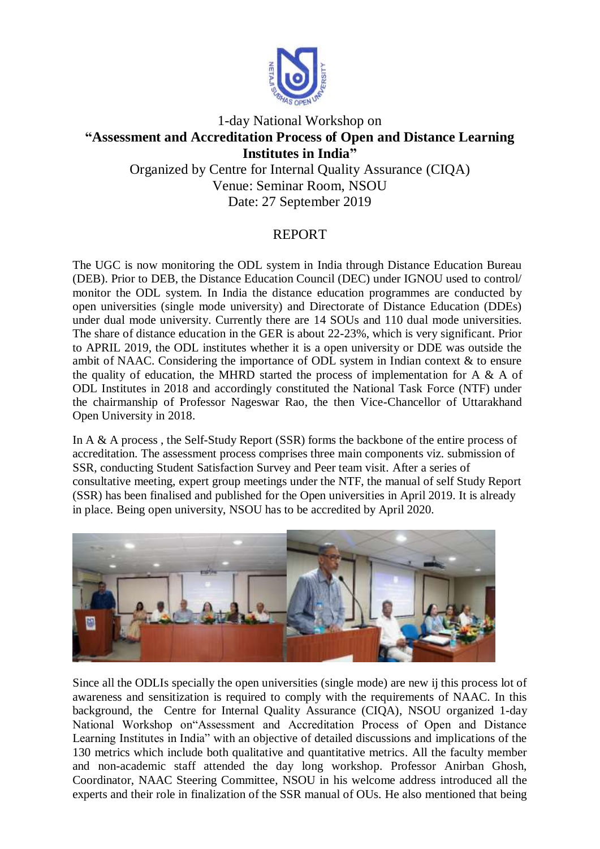

## 1-day National Workshop on **"Assessment and Accreditation Process of Open and Distance Learning Institutes in India"** Organized by Centre for Internal Quality Assurance (CIQA)

Venue: Seminar Room, NSOU

Date: 27 September 2019

## REPORT

The UGC is now monitoring the ODL system in India through Distance Education Bureau (DEB). Prior to DEB, the Distance Education Council (DEC) under IGNOU used to control/ monitor the ODL system. In India the distance education programmes are conducted by open universities (single mode university) and Directorate of Distance Education (DDEs) under dual mode university. Currently there are 14 SOUs and 110 dual mode universities. The share of distance education in the GER is about 22-23%, which is very significant. Prior to APRIL 2019, the ODL institutes whether it is a open university or DDE was outside the ambit of NAAC. Considering the importance of ODL system in Indian context & to ensure the quality of education, the MHRD started the process of implementation for A & A of ODL Institutes in 2018 and accordingly constituted the National Task Force (NTF) under the chairmanship of Professor Nageswar Rao, the then Vice-Chancellor of Uttarakhand Open University in 2018.

In A & A process , the Self-Study Report (SSR) forms the backbone of the entire process of accreditation. The assessment process comprises three main components viz. submission of SSR, conducting Student Satisfaction Survey and Peer team visit. After a series of consultative meeting, expert group meetings under the NTF, the manual of self Study Report (SSR) has been finalised and published for the Open universities in April 2019. It is already in place. Being open university, NSOU has to be accredited by April 2020.



Since all the ODLIs specially the open universities (single mode) are new ij this process lot of awareness and sensitization is required to comply with the requirements of NAAC. In this background, the Centre for Internal Quality Assurance (CIQA), NSOU organized 1-day National Workshop on"Assessment and Accreditation Process of Open and Distance Learning Institutes in India" with an objective of detailed discussions and implications of the 130 metrics which include both qualitative and quantitative metrics. All the faculty member and non-academic staff attended the day long workshop. Professor Anirban Ghosh, Coordinator, NAAC Steering Committee, NSOU in his welcome address introduced all the experts and their role in finalization of the SSR manual of OUs. He also mentioned that being